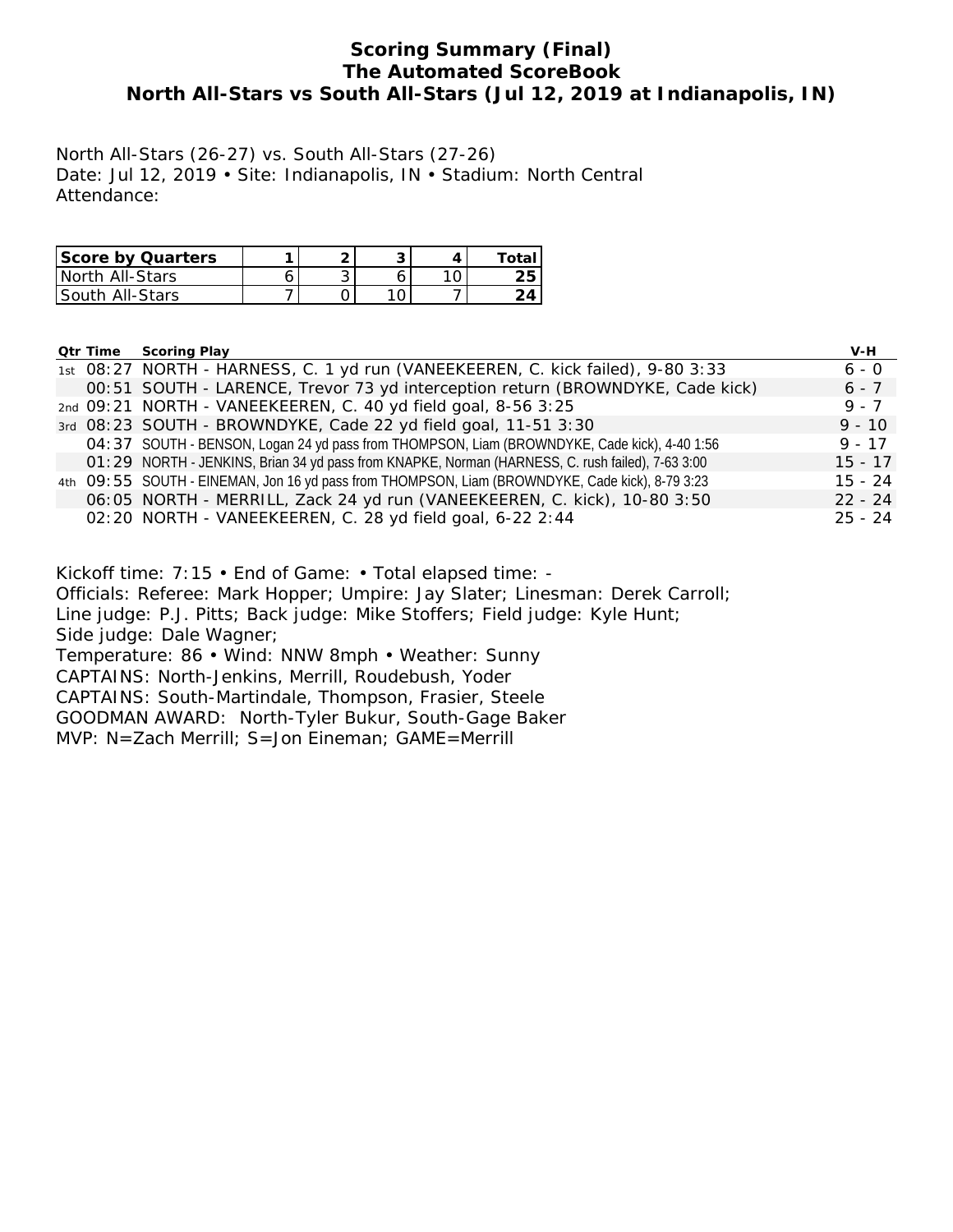## **Scoring Summary (Final) The Automated ScoreBook North All-Stars vs South All-Stars (Jul 12, 2019 at Indianapolis, IN)**

North All-Stars (26-27) vs. South All-Stars (27-26) Date: Jul 12, 2019 • Site: Indianapolis, IN • Stadium: North Central Attendance:

| Score by Quarters      |   | ◡ |    |
|------------------------|---|---|----|
| North All-Stars        | ັ |   | ∠∪ |
| <b>South All-Stars</b> |   |   |    |

|  | <b>Qtr Time Scoring Play</b>                                                                      | $V-H$     |
|--|---------------------------------------------------------------------------------------------------|-----------|
|  | 1st 08:27 NORTH - HARNESS, C. 1 yd run (VANEEKEEREN, C. kick failed), 9-80 3:33                   | $6 - 0$   |
|  | 00:51 SOUTH - LARENCE, Trevor 73 yd interception return (BROWNDYKE, Cade kick)                    | $6 - 7$   |
|  | 2nd 09:21 NORTH - VANEEKEEREN, C. 40 yd field goal, 8-56 3:25                                     | $9 - 7$   |
|  | 3rd 08:23 SOUTH - BROWNDYKE, Cade 22 yd field goal, 11-51 3:30                                    | $9 - 10$  |
|  | O4: 37 SOUTH - BENSON, Logan 24 yd pass from THOMPSON, Liam (BROWNDYKE, Cade kick), 4-40 1:56     | $9 - 17$  |
|  | O1: 29 NORTH - JENKINS, Brian 34 yd pass from KNAPKE, Norman (HARNESS, C. rush failed), 7-63 3:00 | $15 - 17$ |
|  | 4th O9: 55 SOUTH - EINEMAN, Jon 16 yd pass from THOMPSON, Liam (BROWNDYKE, Cade kick), 8-79 3:23  | $15 - 24$ |
|  | 06:05 NORTH - MERRILL, Zack 24 yd run (VANEEKEEREN, C. kick), 10-80 3:50                          | $22 - 24$ |
|  | 02:20 NORTH - VANEEKEEREN, C. 28 yd field goal, 6-22 2:44                                         | $25 - 24$ |

Kickoff time: 7:15 • End of Game: • Total elapsed time: -

Officials: Referee: Mark Hopper; Umpire: Jay Slater; Linesman: Derek Carroll;

Line judge: P.J. Pitts; Back judge: Mike Stoffers; Field judge: Kyle Hunt;

Side judge: Dale Wagner;

Temperature: 86 • Wind: NNW 8mph • Weather: Sunny

CAPTAINS: North-Jenkins, Merrill, Roudebush, Yoder

CAPTAINS: South-Martindale, Thompson, Frasier, Steele

GOODMAN AWARD: North-Tyler Bukur, South-Gage Baker

MVP: N=Zach Merrill; S=Jon Eineman; GAME=Merrill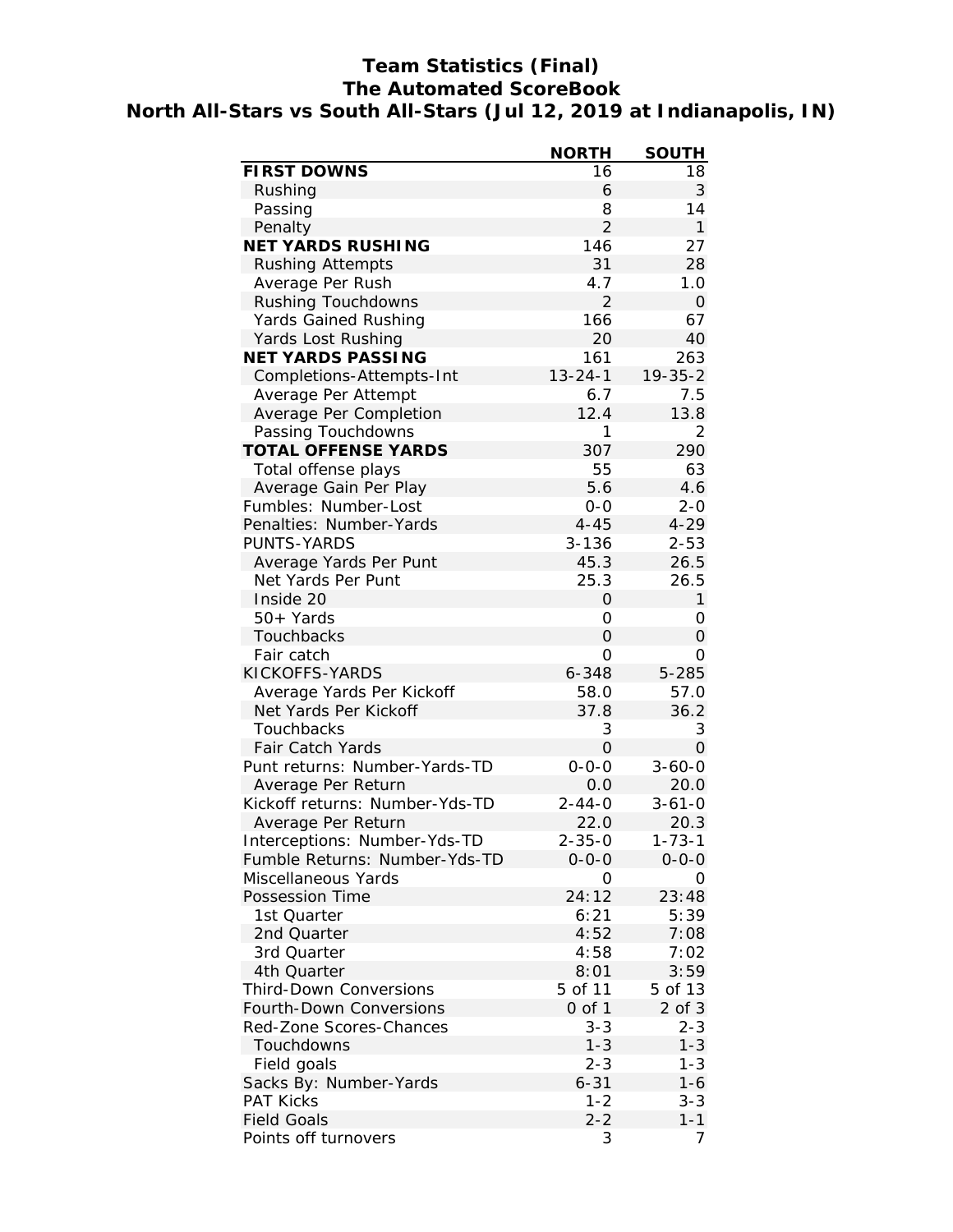# **Team Statistics (Final) The Automated ScoreBook North All-Stars vs South All-Stars (Jul 12, 2019 at Indianapolis, IN)**

|                                | <b>NORTH</b>   | <b>SOUTH</b>  |
|--------------------------------|----------------|---------------|
| FIRST DOWNS                    | 16             | 18            |
| Rushing                        | 6              | 3             |
| Passing                        | 8              | 14            |
| Penalty                        | $\overline{2}$ | $\mathbf{1}$  |
| NET YARDS RUSHING              | 146            | 27            |
| <b>Rushing Attempts</b>        | 31             | 28            |
| Average Per Rush               | 4.7            | 1.0           |
| Rushing Touchdowns             | $\overline{2}$ | $\mathbf 0$   |
| Yards Gained Rushing           | 166            | 67            |
| Yards Lost Rushing             | 20             | 40            |
| NET YARDS PASSING              | 161            | 263           |
| Completions-Attempts-Int       | $13 - 24 - 1$  | $19 - 35 - 2$ |
| Average Per Attempt            | 6.7            | 7.5           |
| Average Per Completion         | 12.4           | 13.8          |
| Passing Touchdowns             | 1              | 2             |
| TOTAL OFFENSE YARDS            | 307            | 290           |
| Total offense plays            | 55             | 63            |
| Average Gain Per Play          | 5.6            | 4.6           |
| Fumbles: Number-Lost           | $0-0$          | $2 - 0$       |
| Penalties: Number-Yards        | $4 - 45$       | $4 - 29$      |
| PUNTS-YARDS                    | $3 - 136$      | $2 - 53$      |
|                                | 45.3           | 26.5          |
| Average Yards Per Punt         |                |               |
| Net Yards Per Punt             | 25.3           | 26.5          |
| Inside 20                      | 0              | 1             |
| 50+ Yards                      | 0              | 0             |
| Touchbacks                     | $\overline{O}$ | $\mathcal{O}$ |
| Fair catch                     | 0              | 0             |
| KICKOFFS-YARDS                 | 6-348          | $5 - 285$     |
| Average Yards Per Kickoff      | 58.0           | 57.0          |
| Net Yards Per Kickoff          | 37.8           | 36.2          |
| Touchbacks                     | 3              | 3             |
| Fair Catch Yards               | 0              | $\mathcal{O}$ |
| Punt returns: Number-Yards-TD  | $0 - 0 - 0$    | $3 - 60 - 0$  |
| Average Per Return             | 0.0            | 20.0          |
| Kickoff returns: Number-Yds-TD | $2 - 44 - 0$   | $3 - 61 - 0$  |
| Average Per Return             | 22.0           | 20.3          |
| Interceptions: Number-Yds-TD   | $2 - 35 - 0$   | $1 - 73 - 1$  |
| Fumble Returns: Number-Yds-TD  | 0-0-0          | $0 - 0 - 0$   |
| Miscellaneous Yards            | 0              | Ο             |
| Possession Time                | 24:12          | 23:48         |
| 1st Quarter                    | 6:21           | 5:39          |
| 2nd Quarter                    | 4:52           | 7:08          |
| 3rd Quarter                    | 4:58           | 7:02          |
| 4th Quarter                    | 8:01           | 3:59          |
| Third-Down Conversions         | 5 of 11        | 5 of 13       |
| Fourth-Down Conversions        | 0 of 1         | $2$ of $3$    |
| Red-Zone Scores-Chances        | $3 - 3$        | $2 - 3$       |
| Touchdowns                     | $1 - 3$        | $1 - 3$       |
| Field goals                    | $2 - 3$        | $1 - 3$       |
| Sacks By: Number-Yards         | $6 - 31$       | $1 - 6$       |
| <b>PAT Kicks</b>               | $1 - 2$        | $3 - 3$       |
| <b>Field Goals</b>             | $2 - 2$        | $1 - 1$       |
| Points off turnovers           | 3              | 7             |
|                                |                |               |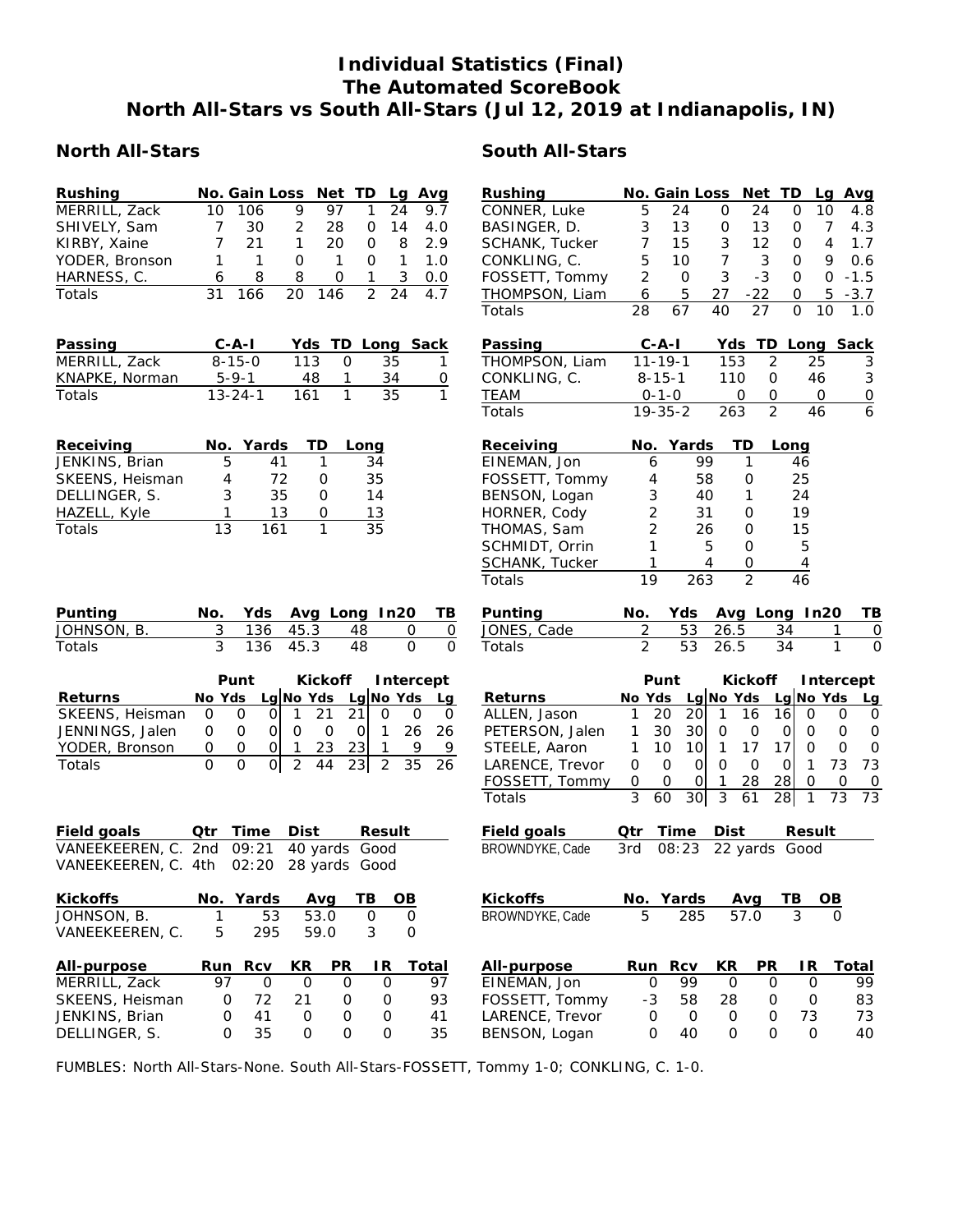## **Individual Statistics (Final) The Automated ScoreBook North All-Stars vs South All-Stars (Jul 12, 2019 at Indianapolis, IN)**

#### **North All-Stars South All-Stars**

| No. Gain Loss<br>Rushing<br>Net<br>TD<br>Avg<br>Lq<br>9<br>97<br>1<br>24<br>MERRILL, Zack<br>10<br>106<br>9.7<br>7<br>30<br>$\overline{2}$<br>SHIVELY, Sam<br>28<br>14<br>O<br>4.0<br>KIRBY, Xaine<br>7<br>21<br>$\mathbf{1}$<br>$\mathsf{O}\xspace$<br>8<br>2.9<br>20<br>YODER, Bronson<br>1<br>1<br>$\mathbf{O}$<br>$\mathbf{1}$<br>$\mathbf{O}$<br>$\mathbf{1}$<br>1.0<br>HARNESS, C.<br>8<br>8<br>$\mathbf{1}$<br>3<br>0<br>0.0<br>6<br>$\overline{2}$<br>31<br>166<br>20<br>146<br>24<br>4.7<br>Totals                                                   | Rushing<br>CONNER, Luke<br>5<br>24<br>BASINGER, D.<br>3<br>13<br>7<br>SCHANK, Tucker<br>15<br>5<br>CONKLING, C.<br>10<br>2<br>FOSSETT, Tommy<br>$\mathbf 0$<br>5<br>THOMPSON, Liam<br>6<br>28<br>67<br>Totals                                    | No. Gain Loss Net TD<br>Avg<br>Lq<br>0<br>24<br>0<br>10<br>4.8<br>7<br>13<br>4.3<br>0<br>0<br>3<br>12<br>$\overline{4}$<br>$\mathbf 0$<br>1.7<br>$\overline{7}$<br>3<br>9<br>0.6<br>$\mathbf{O}$<br>3<br>$-3$<br>$\mathsf{O}$<br>$-1.5$<br>$\Omega$<br>27<br>$-22$<br>5<br>$-3.7$<br>0<br>40<br>27<br>$\mathsf{O}$<br>10<br>1.0                                                                                                                                                                                  |
|---------------------------------------------------------------------------------------------------------------------------------------------------------------------------------------------------------------------------------------------------------------------------------------------------------------------------------------------------------------------------------------------------------------------------------------------------------------------------------------------------------------------------------------------------------------|--------------------------------------------------------------------------------------------------------------------------------------------------------------------------------------------------------------------------------------------------|------------------------------------------------------------------------------------------------------------------------------------------------------------------------------------------------------------------------------------------------------------------------------------------------------------------------------------------------------------------------------------------------------------------------------------------------------------------------------------------------------------------|
| Yds TD<br>$C - A - I$<br>Long Sack<br>Passing<br>MERRILL, Zack<br>$8 - 15 - 0$<br>113<br>$\mathbf{O}$<br>35<br>1<br>$5 - 9 - 1$<br>1<br>0<br>KNAPKE, Norman<br>48<br>34<br>$\mathbf{1}$<br>$13 - 24 - 1$<br>161<br>35<br>1<br>Totals                                                                                                                                                                                                                                                                                                                          | Passing<br>$C-A-I$<br>THOMPSON, Liam<br>$11 - 19 - 1$<br>$8 - 15 - 1$<br>CONKLING, C.<br>$0 - 1 - 0$<br>TEAM<br>$19 - 35 - 2$<br>Totals                                                                                                          | Yds TD Long Sack<br>153<br>2<br>3<br>25<br>110<br>$\mathbf{O}$<br>46<br>$\sqrt{3}$<br>$\overline{0}$<br>0<br>0<br>0<br>$\overline{6}$<br>$\overline{2}$<br>263<br>46                                                                                                                                                                                                                                                                                                                                             |
| Receiving<br>Yards<br>TD<br>No.<br>Long<br>5<br>$\mathbf{1}$<br>JENKINS, Brian<br>41<br>34<br>72<br>35<br>SKEENS, Heisman<br>4<br>O<br>3<br>35<br>DELLINGER, S.<br>$\mathsf{O}$<br>14<br>1<br>13<br>13<br>HAZELL, Kyle<br>0<br>13<br>$\mathbf{1}$<br>35<br>161<br>Totals                                                                                                                                                                                                                                                                                      | Receiving<br>Yards<br>No.<br>EINEMAN, Jon<br>6<br>FOSSETT, Tommy<br>4<br>3<br>BENSON, Logan<br>$\overline{c}$<br>HORNER, Cody<br>$\overline{2}$<br>THOMAS, Sam<br>1<br>SCHMIDT, Orrin<br>SCHANK, Tucker<br>1<br>19<br>Totals                     | TD<br>Long<br>99<br>1<br>46<br>58<br>25<br>0<br>40<br>1<br>24<br>31<br>0<br>19<br>15<br>26<br>0<br>5<br>0<br>5<br>4<br>$\mathbf 0$<br>$\overline{4}$<br>263<br>$\overline{2}$<br>46                                                                                                                                                                                                                                                                                                                              |
| Punting<br>Avg Long In20<br>No.<br>Yds<br>TВ<br>3<br>JOHNSON, B.<br>136<br>48<br>45.3<br>0<br>$\overline{0}$<br>3<br>$\overline{O}$<br>$\overline{O}$<br>136<br>45.3<br>48<br>Totals                                                                                                                                                                                                                                                                                                                                                                          | Yds<br>Punting<br>No.<br>$\overline{2}$<br>53<br>JONES, Cade<br>$\overline{2}$<br>53<br>Totals                                                                                                                                                   | Avg Long In20<br>TВ<br>26.5<br>$\mathbf 0$<br>34<br>1<br>26.5<br>34<br>1<br>$\overline{O}$                                                                                                                                                                                                                                                                                                                                                                                                                       |
| Kickoff<br>Punt<br>Intercept<br>Lg No Yds<br>Lg No Yds<br>Returns<br>No Yds<br>Lg<br>21<br>$\mathbf 0$<br>21<br>SKEENS, Heisman<br>$\mathbf 0$<br>$\overline{O}$<br>$\Omega$<br>$\overline{0}$<br>1<br>0<br>JENNINGS, Jalen<br>$\mathbf 0$<br>$\mathsf{O}$<br>$\overline{O}$<br>$\circ$<br>26<br>26<br>O<br>$\mathsf{O}$<br>$\mathbf{1}$<br>23<br>9<br>YODER, Bronson<br>$\mathsf{O}\xspace$<br>$\mathbf 0$<br>$\mathsf O$<br>23<br>1<br>9<br>1<br>$\Omega$<br>$\overline{2}$<br>$\overline{2}$<br>$\Omega$<br>$\mathsf{O}$<br>44<br>23<br>35<br>Totals<br>26 | Punt<br>No Yds Lg No Yds<br>Returns<br>20<br>1<br>ALLEN, Jason<br>30<br>PETERSON, Jalen<br>1<br>10<br>STEELE, Aaron<br>1<br>$\mathbf 0$<br>LARENCE, Trevor<br>$\mathsf{O}$<br>$\mathsf O$<br>FOSSETT, Tommy<br>$\mathsf{O}$<br>3<br>60<br>Totals | Kickoff<br>Intercept<br>Lg $No$ Yds<br>Lg<br>20<br>$\mathbf{1}$<br>16<br>16<br>0<br>0<br>$\mathbf 0$<br>30<br>$\mathsf O$<br>$\mathbf 0$<br> 0 <br>$\mathsf{O}\xspace$<br>$\mathsf{O}\xspace$<br>0<br>$\mathbf{1}$<br>17<br>17<br>$\mathsf{O}$<br>$\mathbf 0$<br>10<br>$\mathbf 0$<br>73<br>$\mathbf{1}$<br>73<br>0l<br>$\mathbf{O}$<br>$\overline{O}$<br> 0 <br>28<br>28<br>$\mathbf 0$<br> 0 <br>$\mathbf{1}$<br>$\mathbf 0$<br>$\overline{0}$<br>30<br>$\mathfrak{Z}$<br>28<br>$\mathbf{1}$<br>73<br>73<br>61 |
| Field goals<br>Qtr<br>Time<br>Dist<br>Result<br>VANEEKEEREN, C. 2nd<br>40 yards Good<br>09:21<br>02:20<br>28 yards Good<br>VANEEKEEREN, C. 4th                                                                                                                                                                                                                                                                                                                                                                                                                | Field goals<br>Qtr<br>Time<br>BROWNDYKE, Cade<br>3rd<br>08:23                                                                                                                                                                                    | Dist<br>Result<br>22 yards<br>Good                                                                                                                                                                                                                                                                                                                                                                                                                                                                               |
| Kickoffs<br>No. Yards<br>TВ<br>Avg<br><u>OB</u><br>JOHNSON, B.<br>53<br>53.0<br>$\mathsf O$<br>0<br>1<br>295<br>5<br>59.0<br>$\mathfrak{Z}$<br>VANEEKEEREN, C.<br>$\mathbf 0$                                                                                                                                                                                                                                                                                                                                                                                 | <b>Kickoffs</b><br>No. Yards<br>BROWNDYKE, Cade<br>5<br>285                                                                                                                                                                                      | Avg<br>TВ<br>OВ<br>3<br>57.0<br>$\Omega$                                                                                                                                                                                                                                                                                                                                                                                                                                                                         |
| Run Rcv<br>PR<br>Total<br>All-purpose<br>KR<br>IR.<br>MERRILL, Zack<br>97<br>$\mathbf 0$<br>$\mathsf{O}$<br>97<br>0<br>$\mathbf 0$<br>SKEENS, Heisman<br>72<br>21<br>$\mathsf O$<br>$\mathsf{O}\xspace$<br>93<br>0<br>JENKINS, Brian<br>41<br>$\mathsf{O}$<br>$\mathsf{O}\xspace$<br>0<br>O<br>41<br>DELLINGER, S.<br>35<br>$\mathsf{O}$<br>$\mathbf{O}$<br>$\mathsf{O}$<br>$\mathsf{O}$<br>35                                                                                                                                                                | Rcv<br>All-purpose<br>Run<br>EINEMAN, Jon<br>$\mathsf O$<br>99<br>FOSSETT, Tommy<br>$-3$<br>58<br>LARENCE, Trevor<br>$\mathsf{O}\xspace$<br>$\mathbf 0$<br>BENSON, Logan<br>$\mathsf{O}$<br>40                                                   | KR<br><b>PR</b><br>IR.<br>Total<br>$\mathbf 0$<br>$\mathsf{O}$<br>99<br>0<br>28<br>$\mathsf O$<br>$\mathsf{O}\xspace$<br>83<br>73<br>73<br>0<br>0<br>$\mathbf 0$<br>40<br>$\overline{O}$<br>$\mathbf{O}$                                                                                                                                                                                                                                                                                                         |

FUMBLES: North All-Stars-None. South All-Stars-FOSSETT, Tommy 1-0; CONKLING, C. 1-0.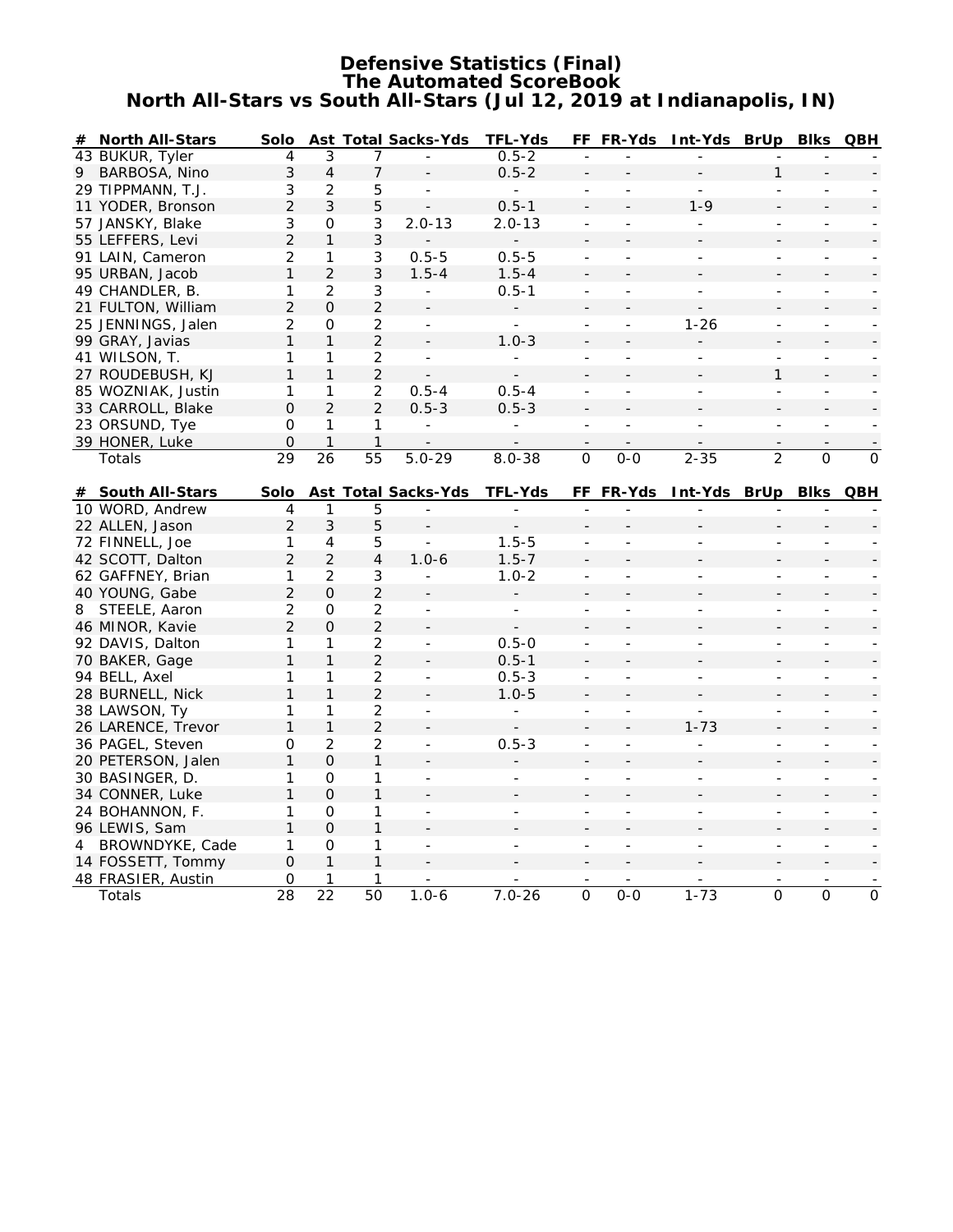#### **Defensive Statistics (Final) The Automated ScoreBook North All-Stars vs South All-Stars (Jul 12, 2019 at Indianapolis, IN)**

| # | North All-Stars                   | Solo           |                 |                | Ast Total Sacks-Yds      | TFL-Yds                  |                          | FF FR-Yds                | Int-Yds BrUp             |                          | <b>Blks</b>              | QBH                      |
|---|-----------------------------------|----------------|-----------------|----------------|--------------------------|--------------------------|--------------------------|--------------------------|--------------------------|--------------------------|--------------------------|--------------------------|
|   | 43 BUKUR, Tyler                   | 4              | 3               | 7              |                          | $0.5 - 2$                | $\overline{a}$           |                          |                          |                          |                          |                          |
| 9 | BARBOSA, Nino                     | 3              | $\overline{4}$  | 7              |                          | $0.5 - 2$                | $\overline{\phantom{m}}$ |                          |                          | 1                        |                          |                          |
|   | 29 TIPPMANN, T.J.                 | 3              | $\overline{2}$  | 5              | $\bar{a}$                | $\overline{\phantom{a}}$ | $\overline{\phantom{a}}$ |                          | $\overline{\phantom{a}}$ | $\overline{\phantom{a}}$ |                          |                          |
|   | 11 YODER, Bronson                 | $\overline{2}$ | $\mathfrak{Z}$  | 5              |                          | $0.5 - 1$                | $\overline{\phantom{a}}$ |                          | $1 - 9$                  |                          |                          |                          |
|   | 57 JANSKY, Blake                  | 3              | $\circ$         | 3              | $2.0 - 13$               | $2.0 - 13$               | $\overline{\phantom{a}}$ |                          |                          | $\overline{\phantom{a}}$ |                          |                          |
|   | 55 LEFFERS, Levi                  | $\overline{2}$ | $\mathbf{1}$    | 3              |                          | $\overline{\phantom{0}}$ |                          |                          |                          |                          |                          |                          |
|   | 91 LAIN, Cameron                  | $\overline{2}$ | 1               | 3              | $0.5 - 5$                | $0.5 - 5$                | $\blacksquare$           |                          | $\overline{\phantom{a}}$ | $\overline{\phantom{a}}$ | $\overline{\phantom{a}}$ |                          |
|   | 95 URBAN, Jacob                   | 1              | $\overline{2}$  | 3              | $1.5 - 4$                | $1.5 - 4$                |                          |                          |                          |                          |                          |                          |
|   | 49 CHANDLER, B.                   | 1              | $\overline{2}$  | 3              | $\equiv$                 | $0.5 - 1$                | ÷,                       | $\overline{a}$           | ÷,                       | ÷,                       |                          |                          |
|   | 21 FULTON, William                | $\overline{2}$ | 0               | $\overline{2}$ |                          |                          | $\blacksquare$           |                          |                          |                          |                          |                          |
|   | 25 JENNINGS, Jalen                | $\overline{2}$ | $\mathcal{O}$   | $\overline{2}$ | $\equiv$                 | $\overline{\phantom{a}}$ | $\overline{\phantom{a}}$ | $\sim$                   | $1 - 26$                 | ÷,                       | $\overline{\phantom{a}}$ |                          |
|   | 99 GRAY, Javias                   | 1              | $\mathbf{1}$    | $\overline{2}$ | $\Box$                   | $1.0 - 3$                |                          |                          |                          |                          |                          |                          |
|   | 41 WILSON, T.                     | 1              | 1               | $\overline{2}$ | $\overline{\phantom{a}}$ |                          | $\overline{\phantom{a}}$ | ÷,                       |                          | $\overline{\phantom{a}}$ |                          |                          |
|   | 27 ROUDEBUSH, KJ                  | $\mathbf{1}$   | $\mathbf{1}$    | $\overline{2}$ |                          |                          | $\overline{a}$           |                          |                          | $\mathbf{1}$             |                          |                          |
|   | 85 WOZNIAK, Justin                | 1              | 1               | $\overline{2}$ | $0.5 - 4$                | $0.5 - 4$                | $\overline{\phantom{a}}$ | $\overline{\phantom{a}}$ | $\overline{\phantom{a}}$ | $\overline{\phantom{a}}$ | $\blacksquare$           | $\overline{\phantom{a}}$ |
|   | 33 CARROLL, Blake                 | $\Omega$       | $\overline{2}$  | $\overline{2}$ | $0.5 - 3$                | $0.5 - 3$                |                          |                          |                          |                          |                          |                          |
|   | 23 ORSUND, Tye                    | $\mathcal{O}$  | 1               | 1              | $\overline{a}$           | L,                       | L,                       | ÷.                       | $\overline{a}$           | ÷,                       |                          |                          |
|   |                                   | $\mathbf{O}$   |                 | $\mathbf{1}$   |                          |                          |                          |                          |                          |                          |                          |                          |
|   | 39 HONER, Luke                    | 29             | 26              | 55             | $5.0 - 29$               | $8.0 - 38$               | $\overline{0}$           | $0-0$                    | $2 - 35$                 | $\overline{2}$           | $\overline{O}$           | $\mathcal{O}$            |
|   | Totals                            |                |                 |                |                          |                          |                          |                          |                          |                          |                          |                          |
| # | South All-Stars                   | Solo           |                 |                | Ast Total Sacks-Yds      | TEL-Yds                  |                          | FF FR-Yds                | Int-Yds BrUp Blks QBH    |                          |                          |                          |
|   | 10 WORD, Andrew                   | 4              | 1               | 5              |                          |                          |                          |                          |                          |                          |                          |                          |
|   | 22 ALLEN, Jason                   | $\overline{2}$ | 3               | 5              |                          |                          |                          |                          |                          |                          |                          |                          |
|   | 72 FINNELL, Joe                   | 1              | 4               | 5              |                          | $1.5 - 5$                | ÷,                       |                          |                          | $\overline{\phantom{a}}$ |                          |                          |
|   | 42 SCOTT, Dalton                  | $\overline{2}$ | 2               | 4              | $1.0 - 6$                | $1.5 - 7$                | $\overline{\phantom{a}}$ |                          |                          |                          |                          |                          |
|   | 62 GAFFNEY, Brian                 | 1              | 2               | 3              | $\overline{\phantom{a}}$ | $1.0 - 2$                | ÷,                       | $\overline{\phantom{a}}$ | $\overline{a}$           | $\overline{\phantom{a}}$ | $\overline{\phantom{a}}$ |                          |
|   | 40 YOUNG, Gabe                    | $\overline{2}$ | $\Omega$        | $\overline{2}$ |                          |                          |                          |                          |                          |                          |                          |                          |
| 8 | STEELE, Aaron                     | $\overline{2}$ | 0               | $\overline{2}$ | $\blacksquare$           | ÷,                       | ÷,                       |                          | $\overline{a}$           | $\sim$                   | $\overline{a}$           |                          |
|   | 46 MINOR, Kavie                   | $\overline{2}$ | $\Omega$        | $\overline{2}$ |                          |                          |                          |                          |                          |                          |                          |                          |
|   | 92 DAVIS, Dalton                  | 1              | 1               | $\overline{2}$ | $\overline{\phantom{a}}$ | $0.5 - 0$                | $\overline{a}$           |                          |                          | $\overline{a}$           |                          |                          |
|   |                                   | 1              | $\mathbf{1}$    | $\overline{2}$ |                          | $0.5 - 1$                |                          |                          |                          |                          |                          |                          |
|   | 70 BAKER, Gage                    | 1              | 1               | $\overline{2}$ | $\sim$                   | $0.5 - 3$                | $\overline{\phantom{a}}$ | $\overline{\phantom{a}}$ | $\overline{a}$           | $\overline{\phantom{a}}$ | ÷.                       |                          |
|   | 94 BELL, Axel<br>28 BURNELL, Nick | $\mathbf{1}$   | $\mathbf{1}$    | $\overline{2}$ |                          | $1.0 - 5$                |                          |                          |                          |                          |                          |                          |
|   |                                   |                |                 |                |                          |                          | $\blacksquare$           |                          |                          |                          |                          |                          |
|   | 38 LAWSON, Ty                     | 1              | 1               | $\overline{2}$ | $\overline{\phantom{a}}$ | ÷,                       | $\blacksquare$           | $\overline{\phantom{a}}$ | $\overline{a}$           | $\overline{\phantom{a}}$ | $\overline{\phantom{m}}$ |                          |
|   | 26 LARENCE, Trevor                | 1              | $\mathbf{1}$    | $\overline{2}$ |                          |                          |                          |                          | $1 - 73$                 |                          |                          |                          |
|   | 36 PAGEL, Steven                  | 0              | $\overline{2}$  | $\overline{2}$ | $\overline{\phantom{a}}$ | $0.5 - 3$                | $\frac{1}{2}$            | $\overline{\phantom{a}}$ | $\frac{1}{2}$            | $\frac{1}{2}$            | $\frac{1}{2}$            |                          |
|   | 20 PETERSON, Jalen                | 1              | $\Omega$        | 1              |                          |                          |                          |                          |                          |                          |                          |                          |
|   | 30 BASINGER, D.                   | $\mathbf{1}$   | $\mathcal{O}$   | 1              | $\bar{a}$                |                          |                          |                          |                          |                          |                          |                          |
|   | 34 CONNER, Luke                   | 1              | $\overline{O}$  | $\mathbf{1}$   |                          |                          |                          |                          |                          |                          |                          |                          |
|   | 24 BOHANNON, F.                   | 1              | 0               | 1              | $\overline{\phantom{a}}$ |                          |                          |                          |                          |                          |                          |                          |
|   | 96 LEWIS, Sam                     | $\mathbf{1}$   | $\Omega$        | $\mathbf{1}$   |                          |                          |                          |                          |                          |                          |                          |                          |
| 4 | BROWNDYKE, Cade                   | 1              | O               | 1              | $\blacksquare$           |                          | $\overline{\phantom{a}}$ | $\overline{a}$           | $\overline{a}$           | $\overline{\phantom{a}}$ |                          |                          |
|   | 14 FOSSETT, Tommy                 | $\overline{O}$ | $\mathbf{1}$    | $\mathbf{1}$   |                          |                          |                          |                          |                          |                          |                          |                          |
|   | 48 FRASIER, Austin                | 0              | 1               | 1              |                          |                          |                          |                          |                          |                          |                          |                          |
|   | Totals                            | 28             | $\overline{22}$ | 50             | $1.0 - 6$                | $7.0 - 26$               | $\overline{0}$           | $O - O$                  | $1 - 73$                 | $\overline{0}$           | $\overline{0}$           | $\overline{0}$           |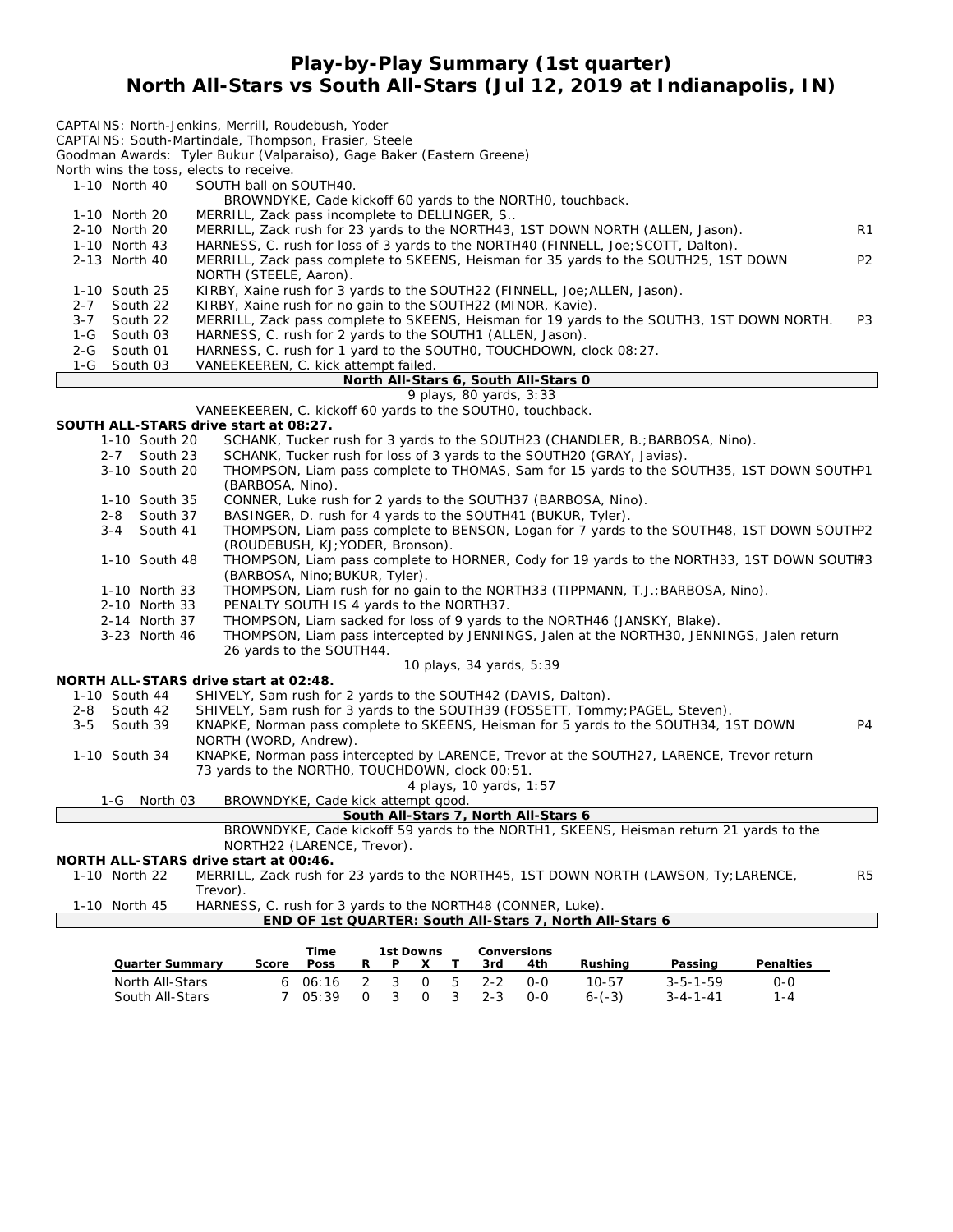## **Play-by-Play Summary (1st quarter) North All-Stars vs South All-Stars (Jul 12, 2019 at Indianapolis, IN)**

| North wins the toss, elects to receive.<br>1-10 North 40 | CAPTAINS: North-Jenkins, Merrill, Roudebush, Yoder<br>CAPTAINS: South-Martindale, Thompson, Frasier, Steele<br>Goodman Awards: Tyler Bukur (Valparaiso), Gage Baker (Eastern Greene)<br>SOUTH ball on SOUTH40.<br>BROWNDYKE, Cade kickoff 60 yards to the NORTHO, touchback. |                |
|----------------------------------------------------------|------------------------------------------------------------------------------------------------------------------------------------------------------------------------------------------------------------------------------------------------------------------------------|----------------|
| 1-10 North 20                                            | MERRILL, Zack pass incomplete to DELLINGER, S                                                                                                                                                                                                                                |                |
| 2-10 North 20<br>1-10 North 43                           | MERRILL, Zack rush for 23 yards to the NORTH43, 1ST DOWN NORTH (ALLEN, Jason).<br>HARNESS, C. rush for loss of 3 yards to the NORTH40 (FINNELL, Joe; SCOTT, Dalton).                                                                                                         | R1             |
| 2-13 North 40                                            | MERRILL, Zack pass complete to SKEENS, Heisman for 35 yards to the SOUTH25, 1ST DOWN                                                                                                                                                                                         | P <sub>2</sub> |
| 1-10 South 25                                            | NORTH (STEELE, Aaron).<br>KIRBY, Xaine rush for 3 yards to the SOUTH22 (FINNELL, Joe; ALLEN, Jason).                                                                                                                                                                         |                |
| $2 - 7$<br>South 22                                      | KIRBY, Xaine rush for no gain to the SOUTH22 (MINOR, Kavie).                                                                                                                                                                                                                 |                |
| South 22<br>$3 - 7$                                      | MERRILL, Zack pass complete to SKEENS, Heisman for 19 yards to the SOUTH3, 1ST DOWN NORTH.                                                                                                                                                                                   | P <sub>3</sub> |
| South 03<br>1-G                                          | HARNESS, C. rush for 2 yards to the SOUTH1 (ALLEN, Jason).                                                                                                                                                                                                                   |                |
| South 01<br>2-G                                          | HARNESS, C. rush for 1 yard to the SOUTHO, TOUCHDOWN, clock 08:27.                                                                                                                                                                                                           |                |
| 1-G<br>South 03                                          | VANEEKEEREN, C. kick attempt failed.<br>North All-Stars 6, South All-Stars 0                                                                                                                                                                                                 |                |
|                                                          | 9 plays, 80 yards, 3:33                                                                                                                                                                                                                                                      |                |
|                                                          | VANEEKEEREN, C. kickoff 60 yards to the SOUTHO, touchback.                                                                                                                                                                                                                   |                |
| SOUTH ALL-STARS drive start at 08:27.                    |                                                                                                                                                                                                                                                                              |                |
| 1-10 South 20                                            | SCHANK, Tucker rush for 3 yards to the SOUTH23 (CHANDLER, B.; BARBOSA, Nino).                                                                                                                                                                                                |                |
| South 23<br>$2 - 7$                                      | SCHANK, Tucker rush for loss of 3 yards to the SOUTH20 (GRAY, Javias).                                                                                                                                                                                                       |                |
| 3-10 South 20                                            | THOMPSON, Liam pass complete to THOMAS, Sam for 15 yards to the SOUTH35, 1ST DOWN SOUTHP1                                                                                                                                                                                    |                |
|                                                          | (BARBOSA, Nino).                                                                                                                                                                                                                                                             |                |
| 1-10 South 35                                            | CONNER, Luke rush for 2 yards to the SOUTH37 (BARBOSA, Nino).                                                                                                                                                                                                                |                |
| 2-8<br>South 37<br>$3 - 4$<br>South 41                   | BASINGER, D. rush for 4 yards to the SOUTH41 (BUKUR, Tyler).                                                                                                                                                                                                                 |                |
|                                                          | THOMPSON, Liam pass complete to BENSON, Logan for 7 yards to the SOUTH48, 1ST DOWN SOUTHP2<br>(ROUDEBUSH, KJ; YODER, Bronson).                                                                                                                                               |                |
| 1-10 South 48                                            | THOMPSON, Liam pass complete to HORNER, Cody for 19 yards to the NORTH33, 1ST DOWN SOUTIP3                                                                                                                                                                                   |                |
| 1-10 North 33                                            | (BARBOSA, Nino; BUKUR, Tyler).<br>THOMPSON, Liam rush for no gain to the NORTH33 (TIPPMANN, T.J.; BARBOSA, Nino).                                                                                                                                                            |                |
| 2-10 North 33                                            | PENALTY SOUTH IS 4 yards to the NORTH37.                                                                                                                                                                                                                                     |                |
| 2-14 North 37                                            | THOMPSON, Liam sacked for loss of 9 yards to the NORTH46 (JANSKY, Blake).                                                                                                                                                                                                    |                |
| 3-23 North 46                                            | THOMPSON, Liam pass intercepted by JENNINGS, Jalen at the NORTH30, JENNINGS, Jalen return<br>26 yards to the SOUTH44.                                                                                                                                                        |                |
|                                                          | 10 plays, 34 yards, 5:39                                                                                                                                                                                                                                                     |                |
| NORTH ALL-STARS drive start at 02:48.                    |                                                                                                                                                                                                                                                                              |                |
| 1-10 South 44                                            | SHIVELY, Sam rush for 2 yards to the SOUTH42 (DAVIS, Dalton).                                                                                                                                                                                                                |                |
| South 42<br>2-8                                          | SHIVELY, Sam rush for 3 yards to the SOUTH39 (FOSSETT, Tommy; PAGEL, Steven).                                                                                                                                                                                                |                |
| $3 - 5$<br>South 39                                      | KNAPKE, Norman pass complete to SKEENS, Heisman for 5 yards to the SOUTH34, 1ST DOWN                                                                                                                                                                                         | P <sub>4</sub> |
|                                                          | NORTH (WORD, Andrew).                                                                                                                                                                                                                                                        |                |
| 1-10 South 34                                            | KNAPKE, Norman pass intercepted by LARENCE, Trevor at the SOUTH27, LARENCE, Trevor return                                                                                                                                                                                    |                |
|                                                          | 73 yards to the NORTHO, TOUCHDOWN, clock 00:51.                                                                                                                                                                                                                              |                |
| 1-G North 03                                             | 4 plays, 10 yards, 1:57<br>BROWNDYKE, Cade kick attempt good.                                                                                                                                                                                                                |                |
|                                                          | South All-Stars 7, North All-Stars 6                                                                                                                                                                                                                                         |                |
|                                                          | BROWNDYKE, Cade kickoff 59 yards to the NORTH1, SKEENS, Heisman return 21 yards to the                                                                                                                                                                                       |                |
|                                                          | NORTH22 (LARENCE, Trevor).                                                                                                                                                                                                                                                   |                |
| NORTH ALL-STARS drive start at 00:46.                    |                                                                                                                                                                                                                                                                              |                |
| 1-10 North 22                                            | MERRILL, Zack rush for 23 yards to the NORTH45, 1ST DOWN NORTH (LAWSON, Ty; LARENCE,                                                                                                                                                                                         | R <sub>5</sub> |
|                                                          | Trevor).                                                                                                                                                                                                                                                                     |                |
| 1-10 North 45                                            | HARNESS, C. rush for 3 yards to the NORTH48 (CONNER, Luke).                                                                                                                                                                                                                  |                |
|                                                          | END OF 1st QUARTER: South All-Stars 7, North All-Stars 6                                                                                                                                                                                                                     |                |
|                                                          | Conversions<br>Time<br>1st Downs                                                                                                                                                                                                                                             |                |
| Quarter Summary                                          | Poss<br>Rushing<br>Passing<br>Penalties<br>Score<br>R<br>P.<br>X<br>Τ<br>3rd<br>4th                                                                                                                                                                                          |                |

North All-Stars 6 06:16 2 3 0 5 2-2 0-0 10-57 3-5-1-59 0-0 South All-Stars 7 05:39 0 3 0 3 2-3 0-0 6-(-3) 3-4-1-41 1-4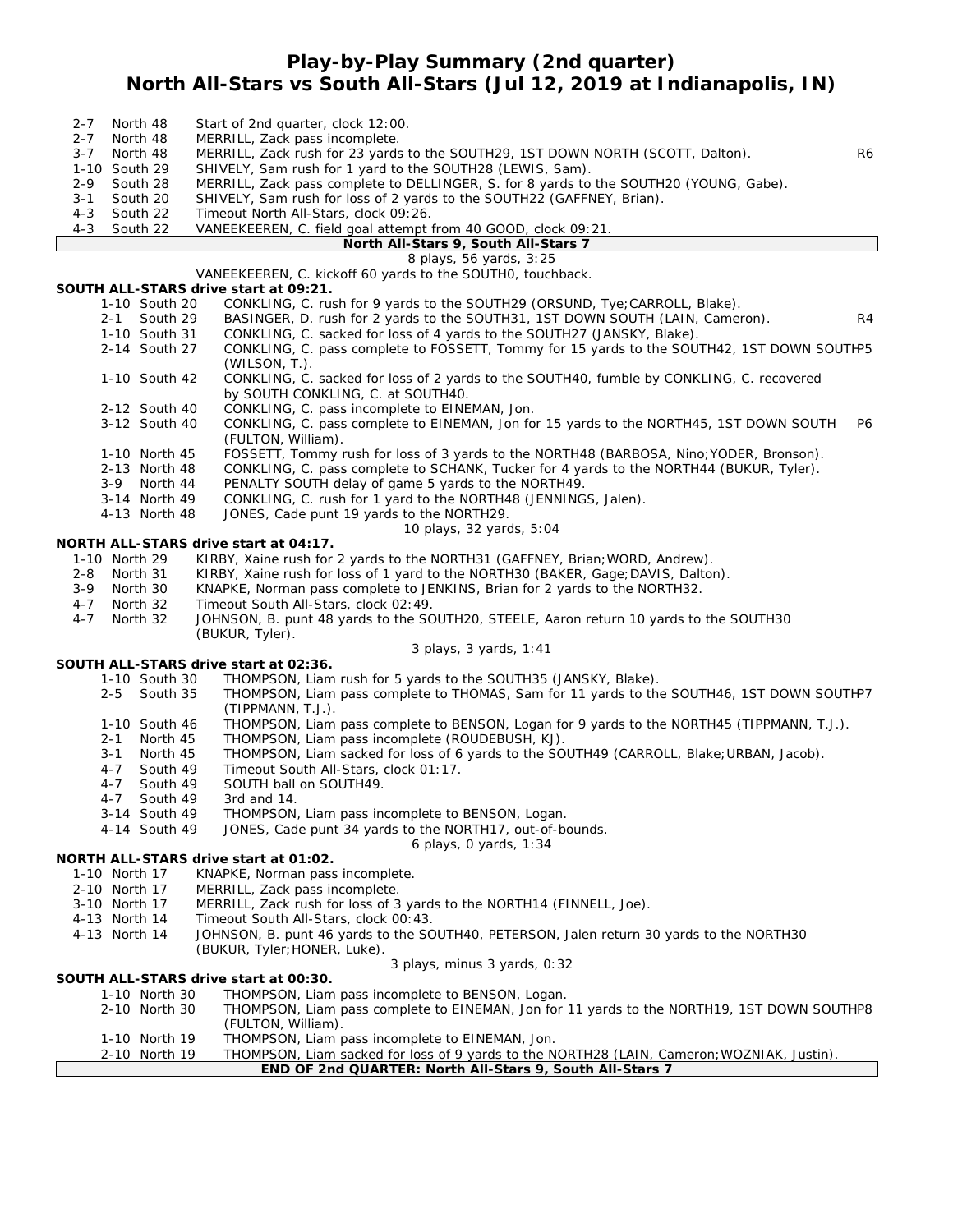#### **Play-by-Play Summary (2nd quarter) North All-Stars vs South All-Stars (Jul 12, 2019 at Indianapolis, IN)**

| $2 - 7$ |               | North 48                  | Start of 2nd quarter, clock 12:00.                                                                                                |    |
|---------|---------------|---------------------------|-----------------------------------------------------------------------------------------------------------------------------------|----|
| $2 - 7$ |               | North 48                  | MERRILL, Zack pass incomplete.                                                                                                    |    |
| $3 - 7$ |               | North 48                  | MERRILL, Zack rush for 23 yards to the SOUTH29, 1ST DOWN NORTH (SCOTT, Dalton).                                                   | R6 |
|         | 1-10 South 29 |                           | SHIVELY, Sam rush for 1 yard to the SOUTH28 (LEWIS, Sam).                                                                         |    |
| $2 - 9$ |               | South 28                  | MERRILL, Zack pass complete to DELLINGER, S. for 8 yards to the SOUTH20 (YOUNG, Gabe).                                            |    |
| $3 - 1$ |               | South 20                  | SHIVELY, Sam rush for loss of 2 yards to the SOUTH22 (GAFFNEY, Brian).                                                            |    |
| $4 - 3$ |               | South 22                  | Timeout North All-Stars, clock 09:26.                                                                                             |    |
| $4 - 3$ |               | South 22                  | VANEEKEEREN, C. field goal attempt from 40 GOOD, clock 09:21.                                                                     |    |
|         |               |                           | North All-Stars 9, South All-Stars 7                                                                                              |    |
|         |               |                           | 8 plays, 56 yards, 3:25                                                                                                           |    |
|         |               |                           | VANEEKEEREN, C. kickoff 60 yards to the SOUTHO, touchback.                                                                        |    |
|         |               |                           | SOUTH ALL-STARS drive start at 09:21.                                                                                             |    |
|         |               | 1-10 South 20             | CONKLING, C. rush for 9 yards to the SOUTH29 (ORSUND, Tye; CARROLL, Blake).                                                       |    |
|         | $2 - 1$       | South 29                  | BASINGER, D. rush for 2 yards to the SOUTH31, 1ST DOWN SOUTH (LAIN, Cameron).                                                     | R4 |
|         |               | 1-10 South 31             | CONKLING, C. sacked for loss of 4 yards to the SOUTH27 (JANSKY, Blake).                                                           |    |
|         |               | 2-14 South 27             | CONKLING, C. pass complete to FOSSETT, Tommy for 15 yards to the SOUTH42, 1ST DOWN SOUTHP5                                        |    |
|         |               |                           | (WILSON, T.).                                                                                                                     |    |
|         |               | 1-10 South 42             | CONKLING, C. sacked for loss of 2 yards to the SOUTH40, fumble by CONKLING, C. recovered                                          |    |
|         |               |                           | by SOUTH CONKLING, C. at SOUTH40.                                                                                                 |    |
|         |               | 2-12 South 40             | CONKLING, C. pass incomplete to EINEMAN, Jon.                                                                                     |    |
|         |               | 3-12 South 40             | CONKLING, C. pass complete to EINEMAN, Jon for 15 yards to the NORTH45, 1ST DOWN SOUTH                                            | P6 |
|         |               |                           | (FULTON, William).                                                                                                                |    |
|         |               | 1-10 North 45             | FOSSETT, Tommy rush for loss of 3 yards to the NORTH48 (BARBOSA, Nino; YODER, Bronson).                                           |    |
|         |               | 2-13 North 48             | CONKLING, C. pass complete to SCHANK, Tucker for 4 yards to the NORTH44 (BUKUR, Tyler).                                           |    |
|         |               | 3-9 North 44              | PENALTY SOUTH delay of game 5 yards to the NORTH49.                                                                               |    |
|         |               | 3-14 North 49             | CONKLING, C. rush for 1 yard to the NORTH48 (JENNINGS, Jalen).                                                                    |    |
|         |               | 4-13 North 48             | JONES, Cade punt 19 yards to the NORTH29.                                                                                         |    |
|         |               |                           | 10 plays, 32 yards, 5:04                                                                                                          |    |
|         |               |                           | NORTH ALL-STARS drive start at 04:17.                                                                                             |    |
|         | 1-10 North 29 |                           | KIRBY, Xaine rush for 2 yards to the NORTH31 (GAFFNEY, Brian; WORD, Andrew).                                                      |    |
|         | 2-8 North 31  |                           | KIRBY, Xaine rush for loss of 1 yard to the NORTH30 (BAKER, Gage; DAVIS, Dalton).                                                 |    |
|         | 3-9 North 30  |                           | KNAPKE, Norman pass complete to JENKINS, Brian for 2 yards to the NORTH32.                                                        |    |
| $4 - 7$ | North 32      |                           | Timeout South All-Stars, clock 02:49.                                                                                             |    |
| $4 - 7$ |               | North 32                  | JOHNSON, B. punt 48 yards to the SOUTH20, STEELE, Aaron return 10 yards to the SOUTH30                                            |    |
|         |               |                           | (BUKUR, Tyler).                                                                                                                   |    |
|         |               |                           | 3 plays, 3 yards, 1:41<br>SOUTH ALL-STARS drive start at 02:36.                                                                   |    |
|         |               | 1-10 South 30             |                                                                                                                                   |    |
|         |               |                           | THOMPSON, Liam rush for 5 yards to the SOUTH35 (JANSKY, Blake).                                                                   |    |
|         | $2 - 5$       | South 35                  | THOMPSON, Liam pass complete to THOMAS, Sam for 11 yards to the SOUTH46, 1ST DOWN SOUTHP7                                         |    |
|         |               |                           | (TIPPMANN, T.J.).<br>THOMPSON, Liam pass complete to BENSON, Logan for 9 yards to the NORTH45 (TIPPMANN, T.J.).                   |    |
|         |               | 1-10 South 46             | THOMPSON, Liam pass incomplete (ROUDEBUSH, KJ).                                                                                   |    |
|         | 2-1           | North 45                  |                                                                                                                                   |    |
|         | 3-1<br>4-7    | North 45<br>South 49      | THOMPSON, Liam sacked for loss of 6 yards to the SOUTH49 (CARROLL, Blake; URBAN, Jacob).<br>Timeout South All-Stars, clock 01:17. |    |
|         | 4-7           | South 49                  | SOUTH ball on SOUTH49.                                                                                                            |    |
|         | 4-7           |                           | 3rd and 14.                                                                                                                       |    |
|         |               | South 49<br>3-14 South 49 | THOMPSON, Liam pass incomplete to BENSON, Logan                                                                                   |    |
|         |               | 4-14 South 49             | JONES, Cade punt 34 yards to the NORTH17, out-of-bounds.                                                                          |    |
|         |               |                           | 6 plays, O yards, 1:34                                                                                                            |    |
|         |               |                           | NORTH ALL-STARS drive start at 01:02.                                                                                             |    |
|         | 1-10 North 17 |                           | KNAPKE, Norman pass incomplete.                                                                                                   |    |
|         | 2-10 North 17 |                           | MERRILL, Zack pass incomplete.                                                                                                    |    |
|         | 3-10 North 17 |                           | MERRILL, Zack rush for loss of 3 yards to the NORTH14 (FINNELL, Joe).                                                             |    |
|         | 4-13 North 14 |                           | Timeout South All-Stars, clock 00:43.                                                                                             |    |
|         | 4-13 North 14 |                           | JOHNSON, B. punt 46 yards to the SOUTH40, PETERSON, Jalen return 30 yards to the NORTH30                                          |    |
|         |               |                           | (BUKUR, Tyler; HONER, Luke).                                                                                                      |    |
|         |               |                           |                                                                                                                                   |    |
|         |               |                           | 3 plays, minus 3 yards, 0:32<br>SOUTH ALL-STARS drive start at 00:30.                                                             |    |
|         |               | 1-10 North 30             | THOMPSON, Liam pass incomplete to BENSON, Logan.                                                                                  |    |
|         |               | 2-10 North 30             | THOMPSON, Liam pass complete to EINEMAN, Jon for 11 yards to the NORTH19, 1ST DOWN SOUTHP8                                        |    |
|         |               |                           | (FULTON, William).                                                                                                                |    |
|         |               | 1-10 North 19             | THOMPSON, Liam pass incomplete to EINEMAN, Jon.                                                                                   |    |
|         |               | 2-10 North 19             | THOMPSON, Liam sacked for loss of 9 yards to the NORTH28 (LAIN, Cameron; WOZNIAK, Justin).                                        |    |
|         |               |                           | END OF 2nd QUARTER: North All-Stars 9, South All-Stars 7                                                                          |    |
|         |               |                           |                                                                                                                                   |    |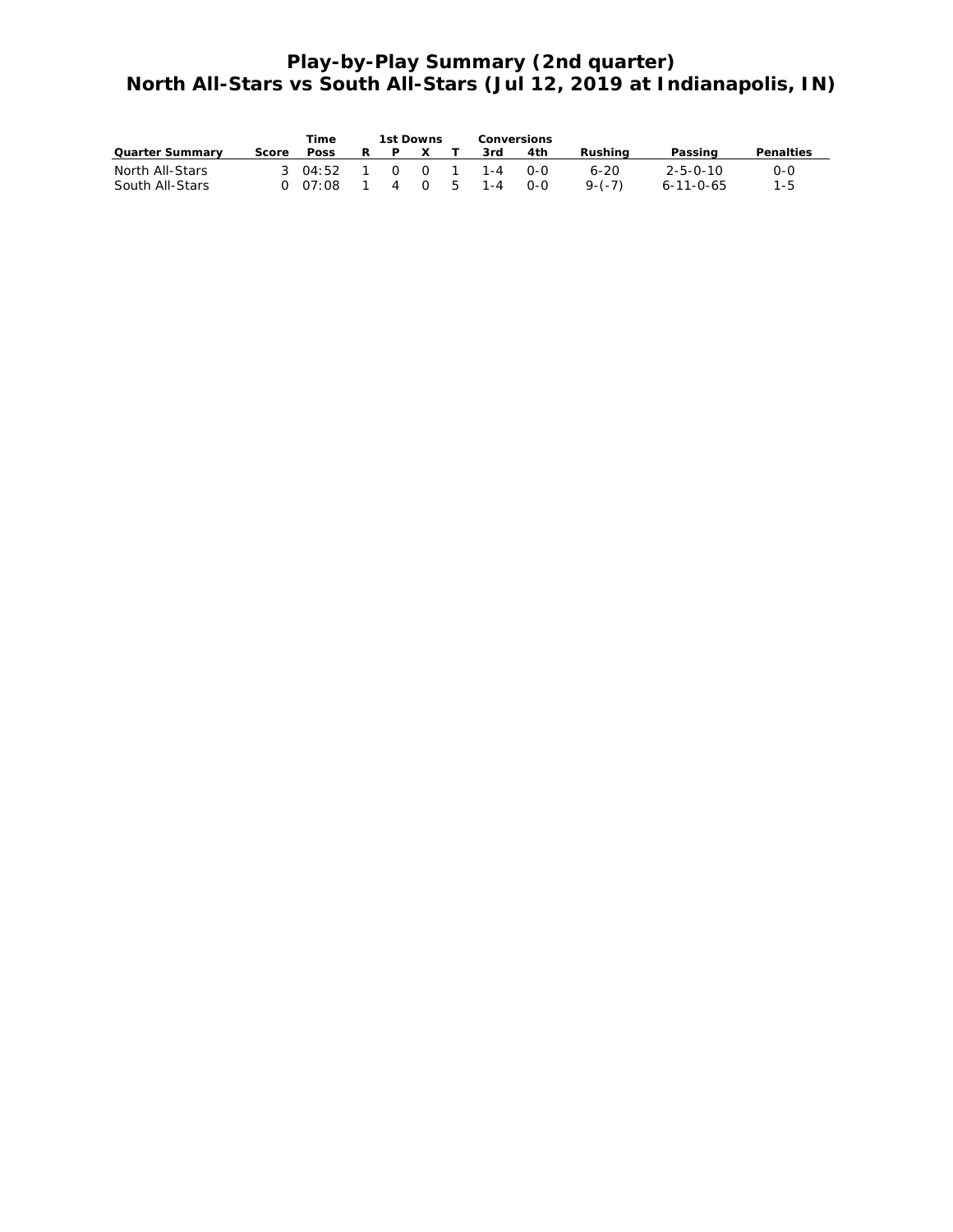#### **Play-by-Play Summary (2nd quarter) North All-Stars vs South All-Stars (Jul 12, 2019 at Indianapolis, IN)**

|                 |       | Time        |   | 1st Downs |  | Conversions             |     |            |                  |           |
|-----------------|-------|-------------|---|-----------|--|-------------------------|-----|------------|------------------|-----------|
| Quarter Summary | Score | <b>Poss</b> | R | PX T      |  | .3rd                    | 4th | Rushina    | Passing          | Penalties |
| North All-Stars |       |             |   |           |  | 3 04:52 1 0 0 1 1-4 0-0 |     | 6-20       | $2 - 5 - 0 - 10$ | $O-O$     |
| South All-Stars |       |             |   |           |  | 0 07:08 1 4 0 5 1-4 0-0 |     | $9 - (-7)$ | 6-11-0-65        | $1 - 5$   |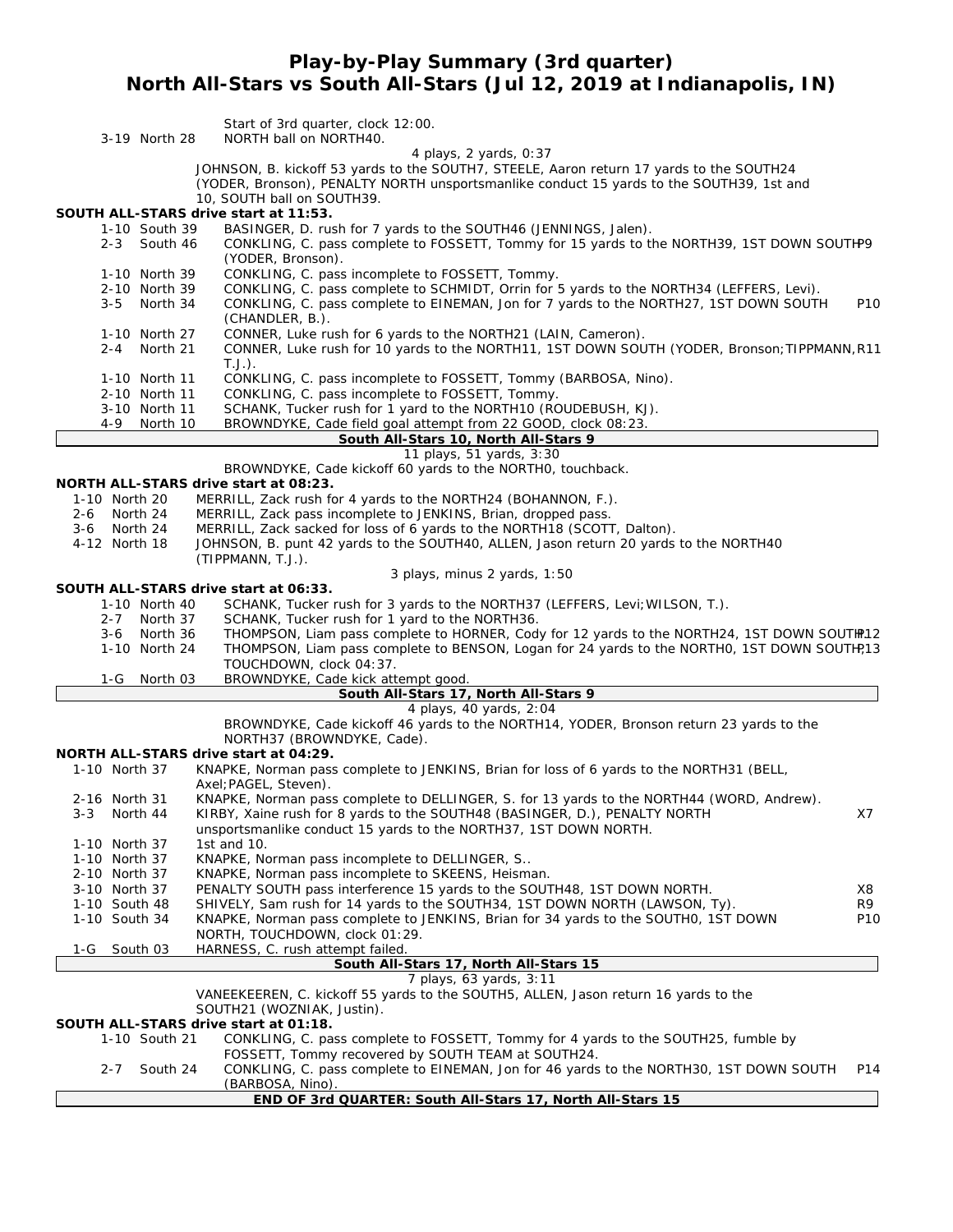#### **Play-by-Play Summary (3rd quarter) North All-Stars vs South All-Stars (Jul 12, 2019 at Indianapolis, IN)**

| 3-19 North 28                                                                 | Start of 3rd quarter, clock 12:00.<br>NORTH ball on NORTH40.                                                                                                                                                                                          |                 |
|-------------------------------------------------------------------------------|-------------------------------------------------------------------------------------------------------------------------------------------------------------------------------------------------------------------------------------------------------|-----------------|
|                                                                               | 4 plays, 2 yards, 0:37<br>JOHNSON, B. kickoff 53 yards to the SOUTH7, STEELE, Aaron return 17 yards to the SOUTH24<br>(YODER, Bronson), PENALTY NORTH unsportsmanlike conduct 15 yards to the SOUTH39, 1st and<br>10, SOUTH ball on SOUTH39.          |                 |
| SOUTH ALL-STARS drive start at 11:53.<br>1-10 South 39<br>$2 - 3$<br>South 46 | BASINGER, D. rush for 7 yards to the SOUTH46 (JENNINGS, Jalen).<br>CONKLING, C. pass complete to FOSSETT, Tommy for 15 yards to the NORTH39, 1ST DOWN SOUTHP9<br>(YODER, Bronson).                                                                    |                 |
| 1-10 North 39<br>2-10 North 39<br>$3 - 5$<br>North 34                         | CONKLING, C. pass incomplete to FOSSETT, Tommy.<br>CONKLING, C. pass complete to SCHMIDT, Orrin for 5 yards to the NORTH34 (LEFFERS, Levi).<br>CONKLING, C. pass complete to EINEMAN, Jon for 7 yards to the NORTH27, 1ST DOWN SOUTH                  | P10             |
| 1-10 North 27<br>2-4 North 21                                                 | (CHANDLER, B.).<br>CONNER, Luke rush for 6 yards to the NORTH21 (LAIN, Cameron).<br>CONNER, Luke rush for 10 yards to the NORTH11, 1ST DOWN SOUTH (YODER, Bronson; TIPPMANN, R11<br>$T.J.$ ).                                                         |                 |
| 1-10 North 11<br>2-10 North 11<br>3-10 North 11<br>4-9<br>North 10            | CONKLING, C. pass incomplete to FOSSETT, Tommy (BARBOSA, Nino).<br>CONKLING, C. pass incomplete to FOSSETT, Tommy.<br>SCHANK, Tucker rush for 1 yard to the NORTH10 (ROUDEBUSH, KJ).<br>BROWNDYKE, Cade field goal attempt from 22 GOOD, clock 08:23. |                 |
|                                                                               | South All-Stars 10, North All-Stars 9                                                                                                                                                                                                                 |                 |
|                                                                               | 11 plays, 51 yards, 3:30                                                                                                                                                                                                                              |                 |
|                                                                               | BROWNDYKE, Cade kickoff 60 yards to the NORTHO, touchback.                                                                                                                                                                                            |                 |
| NORTH ALL-STARS drive start at 08:23.                                         |                                                                                                                                                                                                                                                       |                 |
| 1-10 North 20                                                                 | MERRILL, Zack rush for 4 yards to the NORTH24 (BOHANNON, F.).                                                                                                                                                                                         |                 |
| North 24<br>$2 - 6$                                                           | MERRILL, Zack pass incomplete to JENKINS, Brian, dropped pass.                                                                                                                                                                                        |                 |
| North 24<br>3-6                                                               | MERRILL, Zack sacked for loss of 6 yards to the NORTH18 (SCOTT, Dalton).                                                                                                                                                                              |                 |
| 4-12 North 18                                                                 | JOHNSON, B. punt 42 yards to the SOUTH40, ALLEN, Jason return 20 yards to the NORTH40                                                                                                                                                                 |                 |
|                                                                               | (TIPPMANN, T.J.).                                                                                                                                                                                                                                     |                 |
| SOUTH ALL-STARS drive start at 06:33.                                         | 3 plays, minus 2 yards, 1:50                                                                                                                                                                                                                          |                 |
| 1-10 North 40                                                                 | SCHANK, Tucker rush for 3 yards to the NORTH37 (LEFFERS, Levi; WILSON, T.).                                                                                                                                                                           |                 |
| North 37<br>$2 - 7$                                                           | SCHANK, Tucker rush for 1 yard to the NORTH36.                                                                                                                                                                                                        |                 |
| North 36<br>3-6                                                               | THOMPSON, Liam pass complete to HORNER, Cody for 12 yards to the NORTH24, 1ST DOWN SOUTHP.12                                                                                                                                                          |                 |
| 1-10 North 24                                                                 | THOMPSON, Liam pass complete to BENSON, Logan for 24 yards to the NORTHO, 1ST DOWN SOUTH?13<br>TOUCHDOWN, clock 04:37.                                                                                                                                |                 |
| 1-G<br>North 03                                                               | BROWNDYKE, Cade kick attempt good.                                                                                                                                                                                                                    |                 |
|                                                                               | South All-Stars 17, North All-Stars 9                                                                                                                                                                                                                 |                 |
|                                                                               | 4 plays, 40 yards, 2:04                                                                                                                                                                                                                               |                 |
|                                                                               | BROWNDYKE, Cade kickoff 46 yards to the NORTH14, YODER, Bronson return 23 yards to the<br>NORTH37 (BROWNDYKE, Cade).                                                                                                                                  |                 |
| NORTH ALL-STARS drive start at 04:29.                                         |                                                                                                                                                                                                                                                       |                 |
| 1-10 North 37                                                                 | KNAPKE, Norman pass complete to JENKINS, Brian for loss of 6 yards to the NORTH31 (BELL,<br>Axel; PAGEL, Steven).                                                                                                                                     |                 |
| 2-16 North 31<br>$3 - 3$<br>North 44                                          | KNAPKE, Norman pass complete to DELLINGER, S. for 13 yards to the NORTH44 (WORD, Andrew).<br>KIRBY, Xaine rush for 8 yards to the SOUTH48 (BASINGER, D.), PENALTY NORTH<br>unsportsmanlike conduct 15 yards to the NORTH37, 1ST DOWN NORTH.           | X7              |
| 1-10 North 37                                                                 | 1st and 10.                                                                                                                                                                                                                                           |                 |
| 1-10 North 37                                                                 | KNAPKE, Norman pass incomplete to DELLINGER, S                                                                                                                                                                                                        |                 |
| 2-10 North 37                                                                 | KNAPKE, Norman pass incomplete to SKEENS, Heisman.                                                                                                                                                                                                    |                 |
| 3-10 North 37                                                                 | PENALTY SOUTH pass interference 15 yards to the SOUTH48, 1ST DOWN NORTH.                                                                                                                                                                              | Х8              |
| 1-10 South 48                                                                 | SHIVELY, Sam rush for 14 yards to the SOUTH34, 1ST DOWN NORTH (LAWSON, Ty).                                                                                                                                                                           | R <sub>9</sub>  |
| 1-10 South 34                                                                 | KNAPKE, Norman pass complete to JENKINS, Brian for 34 yards to the SOUTHO, 1ST DOWN                                                                                                                                                                   | P <sub>10</sub> |
|                                                                               | NORTH, TOUCHDOWN, clock 01:29.                                                                                                                                                                                                                        |                 |
| 1-G<br>South 03                                                               | HARNESS, C. rush attempt failed.                                                                                                                                                                                                                      |                 |
|                                                                               | South All-Stars 17, North All-Stars 15                                                                                                                                                                                                                |                 |
|                                                                               | 7 plays, 63 yards, 3:11<br>VANEEKEEREN, C. kickoff 55 yards to the SOUTH5, ALLEN, Jason return 16 yards to the                                                                                                                                        |                 |
|                                                                               | SOUTH21 (WOZNIAK, Justin).                                                                                                                                                                                                                            |                 |
| SOUTH ALL-STARS drive start at 01:18.                                         |                                                                                                                                                                                                                                                       |                 |
| 1-10 South 21                                                                 | CONKLING, C. pass complete to FOSSETT, Tommy for 4 yards to the SOUTH25, fumble by                                                                                                                                                                    |                 |
|                                                                               | FOSSETT, Tommy recovered by SOUTH TEAM at SOUTH24.                                                                                                                                                                                                    |                 |
| South 24<br>$2 - 7$                                                           |                                                                                                                                                                                                                                                       |                 |
|                                                                               | CONKLING, C. pass complete to EINEMAN, Jon for 46 yards to the NORTH30, 1ST DOWN SOUTH                                                                                                                                                                | P14             |
|                                                                               | (BARBOSA, Nino).<br>END OF 3rd QUARTER: South All-Stars 17, North All-Stars 15                                                                                                                                                                        |                 |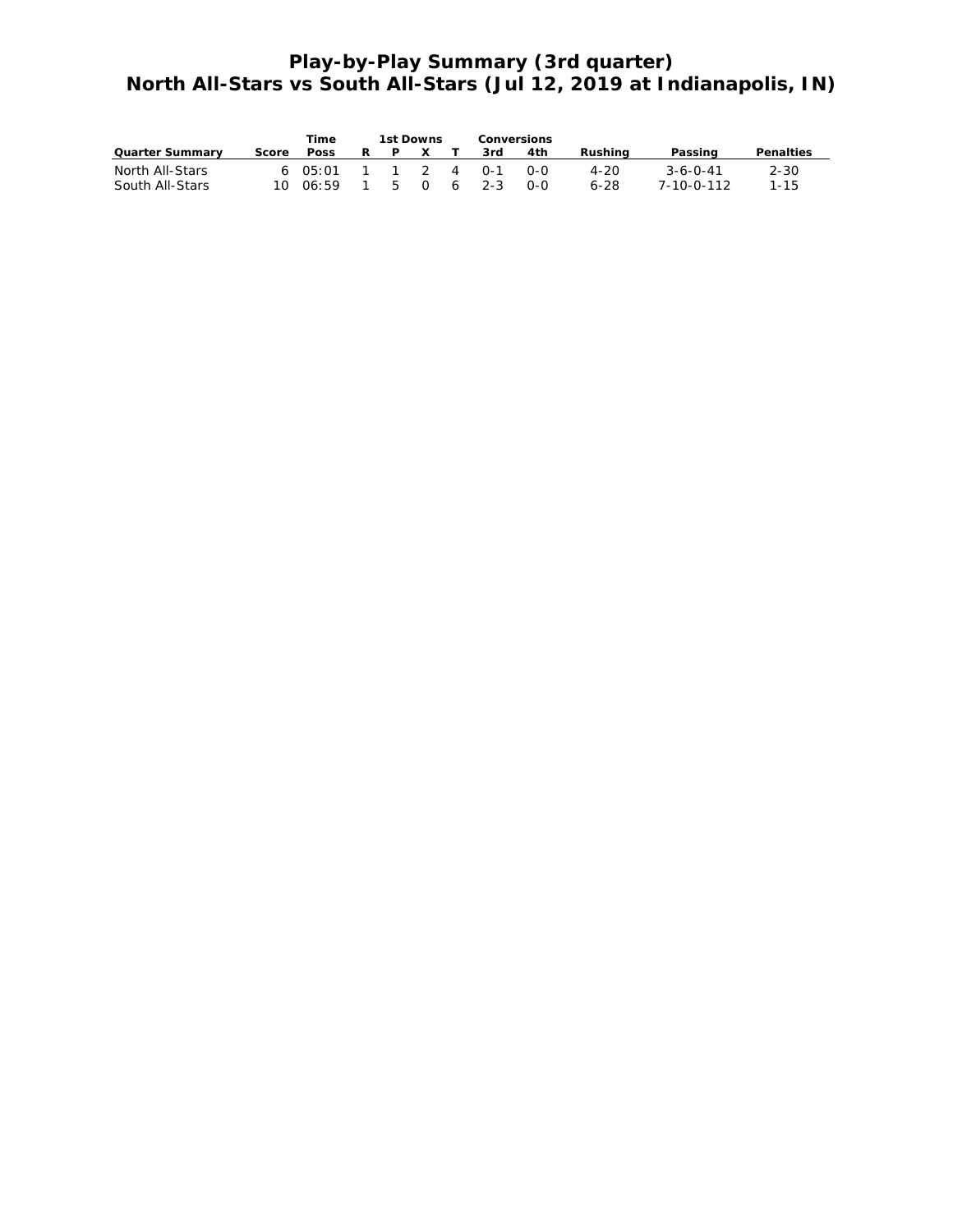## **Play-by-Play Summary (3rd quarter) North All-Stars vs South All-Stars (Jul 12, 2019 at Indianapolis, IN)**

|                 |       | Time        | 1st Downs |     | Conversions |            |         |                    |           |
|-----------------|-------|-------------|-----------|-----|-------------|------------|---------|--------------------|-----------|
| Quarter Summary | Score | <b>Poss</b> |           | P X | 3rd         | 4th        | Rushina | Passing            | Penalties |
| North All-Stars |       | 6 $05:01$   |           |     | 1 1 2 4 0-1 | റ-റ        | 4-20    | $3 - 6 - 0 - 41$   | $2 - 30$  |
| South All-Stars |       | 10006:59    |           |     | 5 0 6 2-3   | <u>ດ-ດ</u> | 6-28    | $7 - 10 - 0 - 112$ | $1 - 15$  |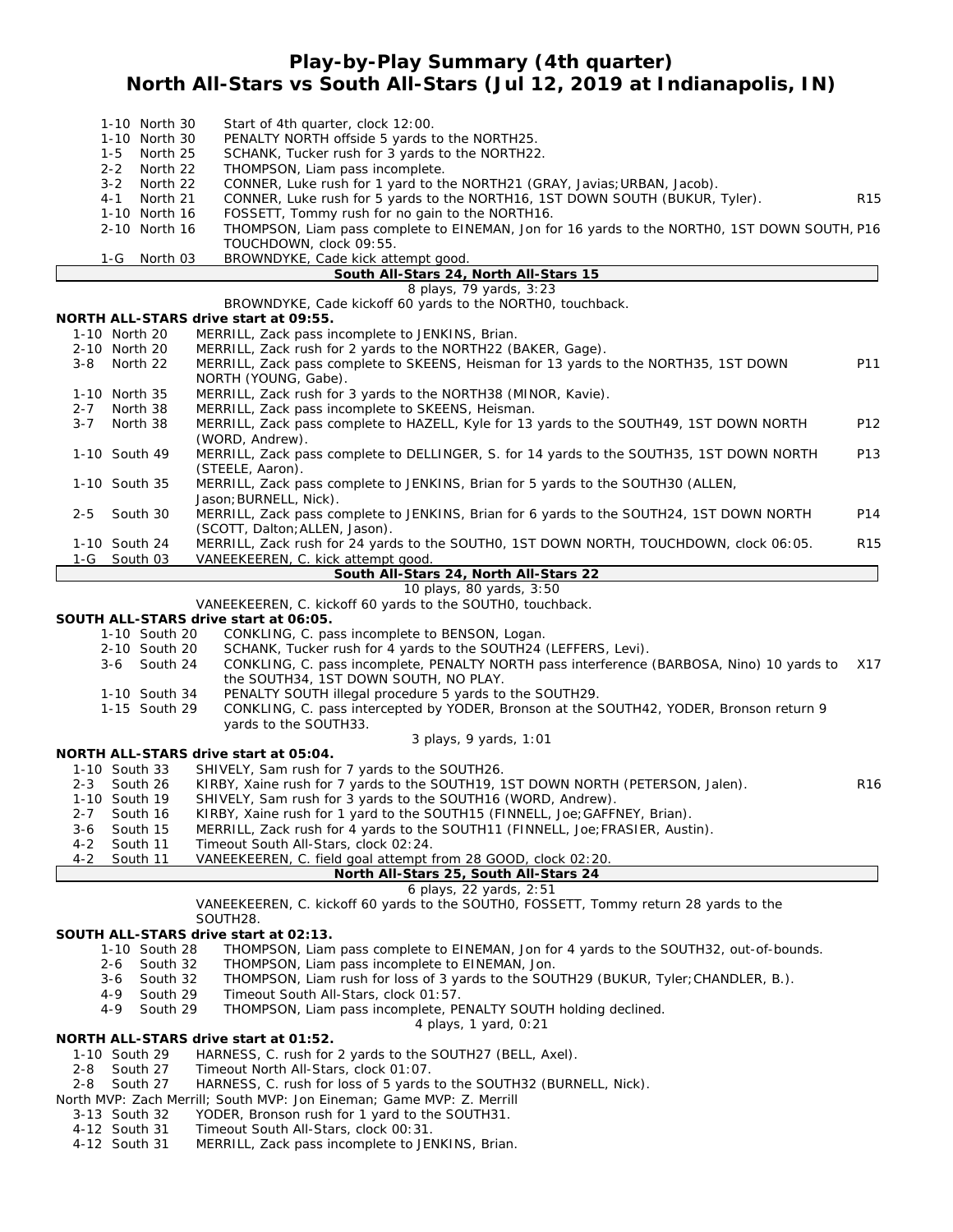**Play-by-Play Summary (4th quarter)**

**North All-Stars vs South All-Stars (Jul 12, 2019 at Indianapolis, IN)**

| 1-10 North 30                        | Start of 4th quarter, clock 12:00.                                                                                                                           |                 |
|--------------------------------------|--------------------------------------------------------------------------------------------------------------------------------------------------------------|-----------------|
| 1-10 North 30                        | PENALTY NORTH offside 5 yards to the NORTH25.                                                                                                                |                 |
| North 25<br>1-5                      | SCHANK, Tucker rush for 3 yards to the NORTH22.                                                                                                              |                 |
| $2 - 2$<br>North 22                  | THOMPSON, Liam pass incomplete.                                                                                                                              |                 |
| $3 - 2$<br>North 22                  | CONNER, Luke rush for 1 yard to the NORTH21 (GRAY, Javias; URBAN, Jacob).                                                                                    |                 |
| $4 - 1$<br>North 21                  | CONNER, Luke rush for 5 yards to the NORTH16, 1ST DOWN SOUTH (BUKUR, Tyler).                                                                                 | R <sub>15</sub> |
| 1-10 North 16                        | FOSSETT, Tommy rush for no gain to the NORTH16.                                                                                                              |                 |
| 2-10 North 16                        | THOMPSON, Liam pass complete to EINEMAN, Jon for 16 yards to the NORTHO, 1ST DOWN SOUTH, P16<br>TOUCHDOWN, clock 09:55.                                      |                 |
| 1-G<br>North 03                      | BROWNDYKE, Cade kick attempt good.                                                                                                                           |                 |
|                                      | South All-Stars 24, North All-Stars 15                                                                                                                       |                 |
|                                      | 8 plays, 79 yards, 3:23                                                                                                                                      |                 |
|                                      | BROWNDYKE, Cade kickoff 60 yards to the NORTHO, touchback.                                                                                                   |                 |
|                                      | NORTH ALL-STARS drive start at 09:55.                                                                                                                        |                 |
| 1-10 North 20                        | MERRILL, Zack pass incomplete to JENKINS, Brian.                                                                                                             |                 |
| 2-10 North 20<br>$3 - 8$<br>North 22 | MERRILL, Zack rush for 2 yards to the NORTH22 (BAKER, Gage).<br>MERRILL, Zack pass complete to SKEENS, Heisman for 13 yards to the NORTH35, 1ST DOWN         | P11             |
|                                      | NORTH (YOUNG, Gabe).                                                                                                                                         |                 |
| 1-10 North 35                        | MERRILL, Zack rush for 3 yards to the NORTH38 (MINOR, Kavie).                                                                                                |                 |
| $2 - 7$<br>North 38                  | MERRILL, Zack pass incomplete to SKEENS, Heisman.                                                                                                            |                 |
| $3 - 7$<br>North 38                  | MERRILL, Zack pass complete to HAZELL, Kyle for 13 yards to the SOUTH49, 1ST DOWN NORTH                                                                      | P12             |
|                                      | (WORD, Andrew).                                                                                                                                              |                 |
| 1-10 South 49                        | MERRILL, Zack pass complete to DELLINGER, S. for 14 yards to the SOUTH35, 1ST DOWN NORTH<br>(STEELE, Aaron).                                                 | P13             |
| 1-10 South 35                        | MERRILL, Zack pass complete to JENKINS, Brian for 5 yards to the SOUTH30 (ALLEN,                                                                             |                 |
|                                      | Jason; BURNELL, Nick).                                                                                                                                       |                 |
| $2 - 5$<br>South 30                  | MERRILL, Zack pass complete to JENKINS, Brian for 6 yards to the SOUTH24, 1ST DOWN NORTH                                                                     | P14             |
|                                      | (SCOTT, Dalton; ALLEN, Jason).                                                                                                                               |                 |
| 1-10 South 24                        | MERRILL, Zack rush for 24 yards to the SOUTHO, 1ST DOWN NORTH, TOUCHDOWN, clock 06:05.                                                                       | R <sub>15</sub> |
| South 03<br>1-G                      | VANEEKEEREN, C. kick attempt good.                                                                                                                           |                 |
|                                      | South All-Stars 24, North All-Stars 22                                                                                                                       |                 |
|                                      | 10 plays, 80 yards, 3:50                                                                                                                                     |                 |
|                                      | VANEEKEEREN, C. kickoff 60 yards to the SOUTHO, touchback.                                                                                                   |                 |
|                                      | SOUTH ALL-STARS drive start at 06:05.                                                                                                                        |                 |
| 1-10 South 20                        | CONKLING, C. pass incomplete to BENSON, Logan.                                                                                                               |                 |
| 2-10 South 20<br>3-6 South 24        | SCHANK, Tucker rush for 4 yards to the SOUTH24 (LEFFERS, Levi).<br>CONKLING, C. pass incomplete, PENALTY NORTH pass interference (BARBOSA, Nino) 10 yards to | X17             |
|                                      | the SOUTH34, 1ST DOWN SOUTH, NO PLAY.                                                                                                                        |                 |
| 1-10 South 34                        | PENALTY SOUTH illegal procedure 5 yards to the SOUTH29.                                                                                                      |                 |
| 1-15 South 29                        | CONKLING, C. pass intercepted by YODER, Bronson at the SOUTH42, YODER, Bronson return 9                                                                      |                 |
|                                      | yards to the SOUTH33.                                                                                                                                        |                 |
|                                      | 3 plays, 9 yards, 1:01                                                                                                                                       |                 |
|                                      | NORTH ALL-STARS drive start at 05:04.                                                                                                                        |                 |
| 1-10 South 33                        | SHIVELY, Sam rush for 7 yards to the SOUTH26.                                                                                                                |                 |
| South 26<br>$2 - 3$                  | KIRBY, Xaine rush for 7 yards to the SOUTH19, 1ST DOWN NORTH (PETERSON, Jalen).                                                                              | R <sub>16</sub> |
| 1-10 South 19                        | SHIVELY, Sam rush for 3 yards to the SOUTH16 (WORD, Andrew).                                                                                                 |                 |
| 2-7 South 16                         | KIRBY, Xaine rush for 1 yard to the SOUTH15 (FINNELL, Joe; GAFFNEY, Brian).                                                                                  |                 |
| South 15<br>$3 - 6$                  | MERRILL, Zack rush for 4 yards to the SOUTH11 (FINNELL, Joe; FRASIER, Austin).                                                                               |                 |
| South 11<br>4-2                      | Timeout South All-Stars, clock 02:24.                                                                                                                        |                 |
| $4 - 2$<br>South 11                  | VANEEKEEREN, C. field goal attempt from 28 GOOD, clock 02:20.                                                                                                |                 |
|                                      | North All-Stars 25, South All-Stars 24                                                                                                                       |                 |
|                                      | 6 plays, 22 yards, 2:51<br>VANEEKEEREN, C. kickoff 60 yards to the SOUTHO, FOSSETT, Tommy return 28 yards to the                                             |                 |
|                                      | SOUTH28.                                                                                                                                                     |                 |
|                                      | SOUTH ALL-STARS drive start at 02:13.                                                                                                                        |                 |
| 1-10 South 28                        | THOMPSON, Liam pass complete to EINEMAN, Jon for 4 yards to the SOUTH32, out-of-bounds.                                                                      |                 |
| 2-6<br>South 32                      | THOMPSON, Liam pass incomplete to EINEMAN, Jon.                                                                                                              |                 |
| 3-6<br>South 32                      | THOMPSON, Liam rush for loss of 3 yards to the SOUTH29 (BUKUR, Tyler; CHANDLER, B.).                                                                         |                 |
| South 29<br>4-9                      | Timeout South All-Stars, clock 01:57.                                                                                                                        |                 |
| South 29<br>4-9                      | THOMPSON, Liam pass incomplete, PENALTY SOUTH holding declined.                                                                                              |                 |
|                                      | 4 plays, 1 yard, 0:21                                                                                                                                        |                 |
|                                      | NORTH ALL-STARS drive start at 01:52.                                                                                                                        |                 |
| 1-10 South 29                        | HARNESS, C. rush for 2 yards to the SOUTH27 (BELL, Axel).                                                                                                    |                 |
| South 27<br>2-8                      | Timeout North All-Stars, clock 01:07.                                                                                                                        |                 |
| South 27<br>2-8                      | HARNESS, C. rush for loss of 5 yards to the SOUTH32 (BURNELL, Nick).                                                                                         |                 |
|                                      | North MVP: Zach Merrill; South MVP: Jon Eineman; Game MVP: Z. Merrill                                                                                        |                 |
| 3-13 South 32                        | YODER, Bronson rush for 1 yard to the SOUTH31.                                                                                                               |                 |
| 4-12 South 31<br>4-12 South 31       | Timeout South All-Stars, clock 00:31.<br>MERRILL, Zack pass incomplete to JENKINS, Brian.                                                                    |                 |
|                                      |                                                                                                                                                              |                 |